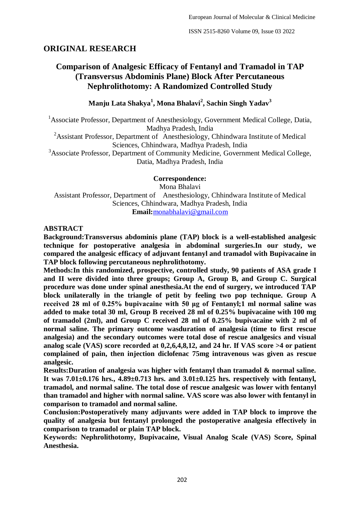## **ORIGINAL RESEARCH**

# **Comparison of Analgesic Efficacy of Fentanyl and Tramadol in TAP (Transversus Abdominis Plane) Block After Percutaneous Nephrolithotomy: A Randomized Controlled Study**

**Manju Lata Shakya<sup>1</sup> , Mona Bhalavi<sup>2</sup> , Sachin Singh Yadav<sup>3</sup>**

<sup>1</sup> Associate Professor, Department of Anesthesiology, Government Medical College, Datia, Madhya Pradesh, India

<sup>2</sup>Assistant Professor, Department of Anesthesiology, Chhindwara Institute of Medical Sciences, Chhindwara, Madhya Pradesh, India

<sup>3</sup>Associate Professor, Department of Community Medicine, Government Medical College, Datia, Madhya Pradesh, India

**Correspondence:** Mona Bhalavi Assistant Professor, Department of Anesthesiology, Chhindwara Institute of Medical Sciences, Chhindwara, Madhya Pradesh, India **Email:**[monabhalavi@gmail.com](about:blank)

#### **ABSTRACT**

**Background:Transversus abdominis plane (TAP) block is a well-established analgesic technique for postoperative analgesia in abdominal surgeries.In our study, we compared the analgesic efficacy of adjuvant fentanyl and tramadol with Bupivacaine in TAP block following percutaneous nephrolithotomy.**

**Methods:In this randomized, prospective, controlled study, 90 patients of ASA grade I and II were divided into three groups; Group A, Group B, and Group C. Surgical procedure was done under spinal anesthesia.At the end of surgery, we introduced TAP block unilaterally in the triangle of petit by feeling two pop technique. Group A received 28 ml of 0.25% bupivacaine with 50 μg of Fentanyl;1 ml normal saline was added to make total 30 ml, Group B received 28 ml of 0.25% bupivacaine with 100 mg of tramadol (2ml), and Group C received 28 ml of 0.25% bupivacaine with 2 ml of normal saline. The primary outcome wasduration of analgesia (time to first rescue analgesia) and the secondary outcomes were total dose of rescue analgesics and visual analog scale (VAS) score recorded at 0,2,6,4,8,12, and 24 hr. If VAS score >4 or patient complained of pain, then injection diclofenac 75mg intravenous was given as rescue analgesic.**

**Results:Duration of analgesia was higher with fentanyl than tramadol & normal saline. It was 7.01±0.176 hrs., 4.89±0.713 hrs. and 3.01±0.125 hrs. respectively with fentanyl, tramadol, and normal saline. The total dose of rescue analgesic was lower with fentanyl than tramadol and higher with normal saline. VAS score was also lower with fentanyl in comparison to tramadol and normal saline.**

**Conclusion:Postoperatively many adjuvants were added in TAP block to improve the quality of analgesia but fentanyl prolonged the postoperative analgesia effectively in comparison to tramadol or plain TAP block.**

**Keywords: Nephrolithotomy, Bupivacaine, Visual Analog Scale (VAS) Score, Spinal Anesthesia.**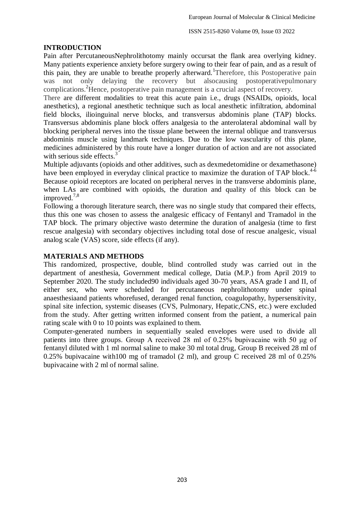#### **INTRODUCTION**

Pain after PercutaneousNephrolithotomy mainly occursat the flank area overlying kidney. Many patients experience anxiety before surgery owing to their fear of pain, and as a result of this pain, they are unable to breathe properly afterward. Therefore, this Postoperative pain was not only delaying the recovery but alsocausing postoperativepulmonary complications. <sup>2</sup>Hence, postoperative pain management is a crucial aspect of recovery.

There are different modalities to treat this acute pain i.e., drugs (NSAIDs, opioids, local anesthetics), a regional anesthetic technique such as local anesthetic infiltration, abdominal field blocks, ilioinguinal nerve blocks, and transversus abdominis plane (TAP) blocks. Transversus abdominis plane block offers analgesia to the anterolateral abdominal wall by blocking peripheral nerves into the tissue plane between the internal oblique and transversus abdominis muscle using landmark techniques. Due to the low vascularity of this plane, medicines administered by this route have a longer duration of action and are not associated with serious side effects.<sup>3</sup>

Multiple adjuvants (opioids and other additives, such as dexmedetomidine or dexamethasone) have been employed in everyday clinical practice to maximize the duration of TAP block.<sup>4-6</sup> Because opioid receptors are located on peripheral nerves in the transverse abdominis plane, when LAs are combined with opioids, the duration and quality of this block can be improved.<sup>7,8</sup>

Following a thorough literature search, there was no single study that compared their effects, thus this one was chosen to assess the analgesic efficacy of Fentanyl and Tramadol in the TAP block. The primary objective wasto determine the duration of analgesia (time to first rescue analgesia) with secondary objectives including total dose of rescue analgesic, visual analog scale (VAS) score, side effects (if any).

#### **MATERIALS AND METHODS**

This randomized, prospective, double, blind controlled study was carried out in the department of anesthesia, Government medical college, Datia (M.P.) from April 2019 to September 2020. The study included90 individuals aged 30-70 years, ASA grade I and II, of either sex, who were scheduled for percutaneous nephrolithotomy under spinal anaesthesiaand patients whorefused, deranged renal function, coagulopathy, hypersensitivity, spinal site infection, systemic diseases (CVS, Pulmonary, Hepatic,CNS, etc.) were excluded from the study. After getting written informed consent from the patient, a numerical pain rating scale with 0 to 10 points was explained to them.

Computer-generated numbers in sequentially sealed envelopes were used to divide all patients into three groups. Group A received 28 ml of 0.25% bupivacaine with 50 μg of fentanyl diluted with 1 ml normal saline to make 30 ml total drug, Group B received 28 ml of 0.25% bupivacaine with100 mg of tramadol (2 ml), and group C received 28 ml of 0.25% bupivacaine with 2 ml of normal saline.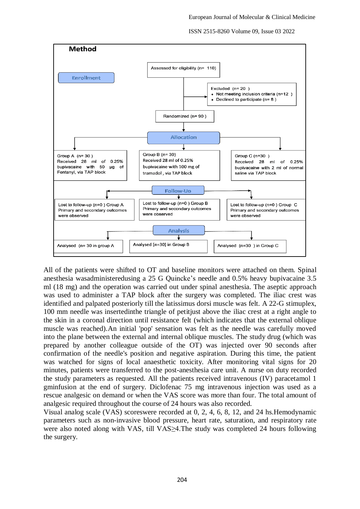ISSN 2515-8260 Volume 09, Issue 03 2022



All of the patients were shifted to OT and baseline monitors were attached on them. Spinal anesthesia wasadministeredusing a 25 G Quincke's needle and 0.5% heavy bupivacaine 3.5 ml (18 mg) and the operation was carried out under spinal anesthesia. The aseptic approach was used to administer a TAP block after the surgery was completed. The iliac crest was identified and palpated posteriorly till the latissimus dorsi muscle was felt. A 22-G stimuplex, 100 mm needle was insertedinthe triangle of petitjust above the iliac crest at a right angle to the skin in a coronal direction until resistance felt (which indicates that the external oblique muscle was reached).An initial 'pop' sensation was felt as the needle was carefully moved into the plane between the external and internal oblique muscles. The study drug (which was prepared by another colleague outside of the OT) was injected over 90 seconds after confirmation of the needle's position and negative aspiration. During this time, the patient was watched for signs of local anaesthetic toxicity. After monitoring vital signs for 20 minutes, patients were transferred to the post-anesthesia care unit. A nurse on duty recorded the study parameters as requested. All the patients received intravenous (IV) paracetamol 1 gminfusion at the end of surgery. Diclofenac 75 mg intravenous injection was used as a rescue analgesic on demand or when the VAS score was more than four. The total amount of analgesic required throughout the course of 24 hours was also recorded.

Visual analog scale (VAS) scoreswere recorded at 0, 2, 4, 6, 8, 12, and 24 hs.Hemodynamic parameters such as non-invasive blood pressure, heart rate, saturation, and respiratory rate were also noted along with VAS, till VAS>4. The study was completed 24 hours following the surgery.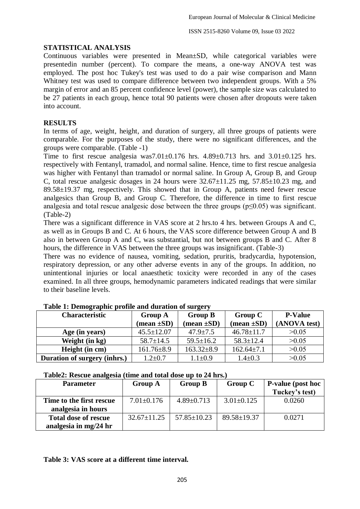#### **STATISTICAL ANALYSIS**

Continuous variables were presented in Mean±SD, while categorical variables were presentedin number (percent). To compare the means, a one-way ANOVA test was employed. The post hoc Tukey's test was used to do a pair wise comparison and Mann Whitney test was used to compare difference between two independent groups. With a 5% margin of error and an 85 percent confidence level (power), the sample size was calculated to be 27 patients in each group, hence total 90 patients were chosen after dropouts were taken into account.

## **RESULTS**

In terms of age, weight, height, and duration of surgery, all three groups of patients were comparable. For the purposes of the study, there were no significant differences, and the groups were comparable. (Table -1)

Time to first rescue analgesia was7.01 $\pm$ 0.176 hrs. 4.89 $\pm$ 0.713 hrs. and 3.01 $\pm$ 0.125 hrs. respectively with Fentanyl, tramadol, and normal saline. Hence, time to first rescue analgesia was higher with Fentanyl than tramadol or normal saline. In Group A, Group B, and Group C, total rescue analgesic dosages in 24 hours were  $32.67 \pm 11.25$  mg,  $57.85 \pm 10.23$  mg, and 89.58±19.37 mg, respectively. This showed that in Group A, patients need fewer rescue analgesics than Group B, and Group C. Therefore, the difference in time to first rescue analgesia and total rescue analgesic dose between the three groups ( $p \le 0.05$ ) was significant. (Table-2)

There was a significant difference in VAS score at 2 hrs.to 4 hrs. between Groups A and C, as well as in Groups B and C. At 6 hours, the VAS score difference between Group A and B also in between Group A and C, was substantial, but not between groups B and C. After 8 hours, the difference in VAS between the three groups was insignificant. (Table-3)

There was no evidence of nausea, vomiting, sedation, pruritis, bradycardia, hypotension, respiratory depression, or any other adverse events in any of the groups. In addition, no unintentional injuries or local anaesthetic toxicity were recorded in any of the cases examined. In all three groups, hemodynamic parameters indicated readings that were similar to their baseline levels.

| <b>Characteristic</b>        | <b>Group A</b>                | <b>Group B</b>                | <b>Group C</b>                | <b>P-Value</b> |  |
|------------------------------|-------------------------------|-------------------------------|-------------------------------|----------------|--|
|                              | $(\text{mean} \pm \text{SD})$ | $(\text{mean} \pm \text{SD})$ | $(\text{mean} \pm \text{SD})$ | (ANOVA test)   |  |
| Age (in years)               | $45.5 \pm 12.07$              | $47.9 \pm 7.5$                | $46.78 \pm 11.7$              | >0.05          |  |
| Weight (in kg)               | $58.7 \pm 14.5$               | $59.5 \pm 16.2$               | $58.3 \pm 12.4$               | >0.05          |  |
| Height (in cm)               | $161.76 \pm 8.9$              | $163.32 \pm 8.9$              | $162.64 \pm 7.1$              | >0.05          |  |
| Duration of surgery (inhrs.) | $1.2 \pm 0.7$                 | $1.1 \pm 0.9$                 | $1.4 \pm 0.3$                 | >0.05          |  |

#### **Table 1: Demographic profile and duration of surgery**

#### **Table2: Rescue analgesia (time and total dose up to 24 hrs.)**

| <b>Parameter</b>            | <b>Group A</b>    | <b>Group B</b><br><b>Group C</b> |                   | <b>P-value</b> (post hoc |  |
|-----------------------------|-------------------|----------------------------------|-------------------|--------------------------|--|
|                             |                   |                                  |                   | Tuckey's test)           |  |
| Time to the first rescue    | $7.01 \pm 0.176$  | $4.89 \pm 0.713$                 | $3.01 \pm 0.125$  | 0.0260                   |  |
| analgesia in hours          |                   |                                  |                   |                          |  |
| <b>Total dose of rescue</b> | $32.67 \pm 11.25$ | $57.85 \pm 10.23$                | $89.58 \pm 19.37$ | 0.0271                   |  |
| analgesia in mg/24 hr       |                   |                                  |                   |                          |  |

#### **Table 3: VAS score at a different time interval.**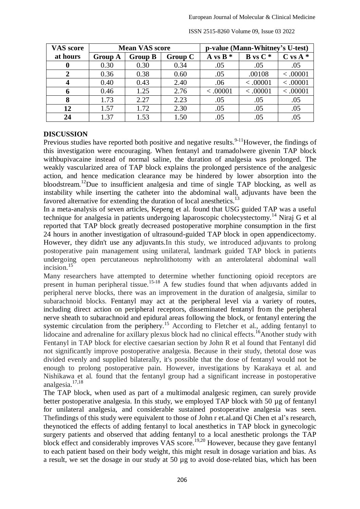| <b>VAS</b> score | <b>Mean VAS score</b> |                |                | p-value (Mann-Whitney's U-test) |              |            |  |
|------------------|-----------------------|----------------|----------------|---------------------------------|--------------|------------|--|
| at hours         | <b>Group A</b>        | <b>Group B</b> | <b>Group C</b> | A vs $B^*$                      | $B$ vs $C^*$ | $C vs A *$ |  |
| $\bf{0}$         | 0.30                  | 0.30           | 0.34           | .05                             | .05          | .05        |  |
|                  | 0.36                  | 0.38           | 0.60           | .05                             | .00108       | < .00001   |  |
| $\boldsymbol{4}$ | 0.40                  | 0.43           | 2.40           | .06                             | < 0.0001     | < 0.0001   |  |
| 6                | 0.46                  | 1.25           | 2.76           | < 0.0001                        | < 0.0001     | < 0.0001   |  |
| 8                | 1.73                  | 2.27           | 2.23           | .05                             | .05          | .05        |  |
| 12               | 1.57                  | 1.72           | 2.30           | .05                             | .05          | .05        |  |
| 24               | 1.37                  | 1.53           | 1.50           | .05                             | .05          | .05        |  |

ISSN 2515-8260 Volume 09, Issue 03 2022

#### **DISCUSSION**

Previous studies have reported both positive and negative results.<sup>9-11</sup>However, the findings of this investigation were encouraging. When fentanyl and tramadolwere givenin TAP block withbupivacaine instead of normal saline, the duration of analgesia was prolonged. The weakly vascularized area of TAP block explains the prolonged persistence of the analgesic action, and hence medication clearance may be hindered by lower absorption into the bloodstream.<sup>12</sup>Due to insufficient analgesia and time of single TAP blocking, as well as instability while inserting the catheter into the abdominal wall, adjuvants have been the favored alternative for extending the duration of local anesthetics.<sup>13</sup>

In a meta-analysis of seven articles, Kepeng et al. found that USG guided TAP was a useful technique for analgesia in patients undergoing laparoscopic cholecystectomy.<sup>14</sup> Niraj G et al reported that TAP block greatly decreased postoperative morphine consumption in the first 24 hours in another investigation of ultrasound-guided TAP block in open appendicectomy. However, they didn't use any adjuvants.In this study, we introduced adjuvants to prolong postoperative pain management using unilateral, landmark guided TAP block in patients undergoing open percutaneous nephrolithotomy with an anterolateral abdominal wall incision.<sup>15</sup>

Many researchers have attempted to determine whether functioning opioid receptors are present in human peripheral tissue.<sup>15-18</sup> A few studies found that when adjuvants added in peripheral nerve blocks, there was an improvement in the duration of analgesia, similar to subarachnoid blocks. Fentanyl may act at the peripheral level via a variety of routes, including direct action on peripheral receptors, disseminated fentanyl from the peripheral nerve sheath to subarachnoid and epidural areas following the block, or fentanyl entering the systemic circulation from the periphery.<sup>15</sup> According to Fletcher et al., adding fentanyl to lidocaine and adrenaline for axillary plexus block had no clinical effects.<sup>16</sup>Another study with Fentanyl in TAP block for elective caesarian section by John R et al found that Fentanyl did not significantly improve postoperative analgesia. Because in their study, thetotal dose was divided evenly and supplied bilaterally, it's possible that the dose of fentanyl would not be enough to prolong postoperative pain. However, investigations by Karakaya et al. and Nishikawa et al. found that the fentanyl group had a significant increase in postoperative analgesia. 17,18

The TAP block, when used as part of a multimodal analgesic regimen, can surely provide better postoperative analgesia. In this study, we employed TAP block with 50 µg of fentanyl for unilateral analgesia, and considerable sustained postoperative analgesia was seen. Thefindings of this study were equivalent to those of John r et.al.and Qi Chen et al's research, theynoticed the effects of adding fentanyl to local anesthetics in TAP block in gynecologic surgery patients and observed that adding fentanyl to a local anesthetic prolongs the TAP block effect and considerably improves VAS score. 19,20 However, because they gave fentanyl to each patient based on their body weight, this might result in dosage variation and bias. As a result, we set the dosage in our study at 50 µg to avoid dose-related bias, which has been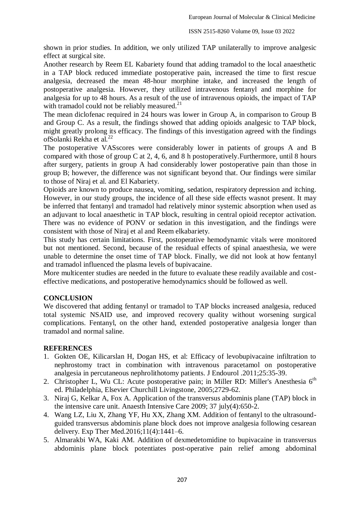shown in prior studies. In addition, we only utilized TAP unilaterally to improve analgesic effect at surgical site.

Another research by Reem EL Kabariety found that adding tramadol to the local anaesthetic in a TAP block reduced immediate postoperative pain, increased the time to first rescue analgesia, decreased the mean 48-hour morphine intake, and increased the length of postoperative analgesia. However, they utilized intravenous fentanyl and morphine for analgesia for up to 48 hours. As a result of the use of intravenous opioids, the impact of TAP with tramadol could not be reliably measured.<sup>21</sup>

The mean diclofenac required in 24 hours was lower in Group A, in comparison to Group B and Group C. As a result, the findings showed that adding opioids analgesic to TAP block, might greatly prolong its efficacy. The findings of this investigation agreed with the findings ofSolanki Rekha et al.<sup>22</sup>

The postoperative VASscores were considerably lower in patients of groups A and B compared with those of group C at 2, 4, 6, and 8 h postoperatively.Furthermore, until 8 hours after surgery, patients in group A had considerably lower postoperative pain than those in group B; however, the difference was not significant beyond that. Our findings were similar to those of Niraj et al. and El Kabariety.

Opioids are known to produce nausea, vomiting, sedation, respiratory depression and itching. However, in our study groups, the incidence of all these side effects wasnot present. It may be inferred that fentanyl and tramadol had relatively minor systemic absorption when used as an adjuvant to local anaesthetic in TAP block, resulting in central opioid receptor activation. There was no evidence of PONV or sedation in this investigation, and the findings were consistent with those of Niraj et al and Reem elkabariety.

This study has certain limitations. First, postoperative hemodynamic vitals were monitored but not mentioned. Second, because of the residual effects of spinal anaesthesia, we were unable to determine the onset time of TAP block. Finally, we did not look at how fentanyl and tramadol influenced the plasma levels of bupivacaine.

More multicenter studies are needed in the future to evaluate these readily available and costeffective medications, and postoperative hemodynamics should be followed as well.

## **CONCLUSION**

We discovered that adding fentanyl or tramadol to TAP blocks increased analgesia, reduced total systemic NSAID use, and improved recovery quality without worsening surgical complications. Fentanyl, on the other hand, extended postoperative analgesia longer than tramadol and normal saline.

#### **REFERENCES**

- 1. Gokten OE, Kilicarslan H, Dogan HS, et al: Efficacy of levobupivacaine infiltration to nephrostomy tract in combination with intravenous paracetamol on postoperative analgesia in percutaneous nephrolithotomy patients. J Endourol .2011;25:35-39.
- 2. Christopher L, Wu CL: Acute postoperative pain; in Miller RD: Miller's Anesthesia 6<sup>th</sup> ed. Philadelphia, Elsevier Churchill Livingstone, 2005;2729-62.
- 3. Niraj G, Kelkar A, Fox A. Application of the transversus abdominis plane (TAP) block in the intensive care unit. Anaesth Intensive Care 2009; 37 july(4):650-2.
- 4. Wang LZ, Liu X, Zhang YF, Hu XX, Zhang XM. Addition of fentanyl to the ultrasoundguided transversus abdominis plane block does not improve analgesia following cesarean delivery. Exp Ther Med.2016;11(4):1441–6.
- 5. Almarakbi WA, Kaki AM. Addition of dexmedetomidine to bupivacaine in transversus abdominis plane block potentiates post-operative pain relief among abdominal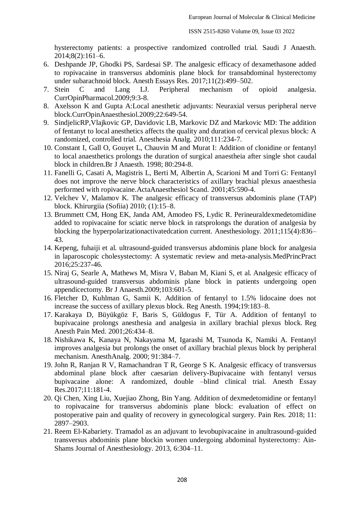hysterectomy patients: a prospective randomized controlled trial. Saudi J Anaesth. 2014;8(2):161–6.

- 6. Deshpande JP, Ghodki PS, Sardesai SP. The analgesic efficacy of dexamethasone added to ropivacaine in transversus abdominis plane block for transabdominal hysterectomy under subarachnoid block. Anesth Essays Res. 2017;11(2):499–502.
- 7. Stein C and Lang LJ. Peripheral mechanism of opioid analgesia. CurrOpinPharmacol.2009;9:3-8.
- 8. Axelsson K and Gupta A:Local anesthetic adjuvants: Neuraxial versus peripheral nerve block.CurrOpinAnaesthesiol.2009;22:649-54.
- 9. SindjelicRP,Vlajkovic GP, Davidovic LB, Markovic DZ and Markovic MD: The addition of fentanyt to local anesthetics affects the quality and duration of cervical plexus block: A randomized, controlled trial. Anesthesia Analg. 2010;111:234-7.
- 10. Constant I, Gall O, Gouyet L, Chauvin M and Murat I: Addition of clonidine or fentanyl to local anaesthetics prolongs the duration of surgical anaestheia after single shot caudal block in children.Br J Anaesth. 1998; 80:294-8.
- 11. Fanelli G, Casati A, Magistris L, Berti M, Albertin A, Scarioni M and Torri G: Fentanyl does not improve the nerve block characteristics of axillary brachial plexus anaesthesia performed with ropivacaine.ActaAnaesthesiol Scand. 2001;45:590-4.
- 12. Velchev V, Malamov K. The analgesic efficacy of transversus abdominis plane (TAP) block. Khirurgiia (Sofiia) 2010; (1):15–8.
- 13. Brummett CM, Hong EK, Janda AM, Amodeo FS, Lydic R. Perineuraldexmedetomidine added to ropivacaine for sciatic nerve block in ratsprolongs the duration of analgesia by blocking the hyperpolarizationactivatedcation current. Anesthesiology. 2011;115(4):836– 43.
- 14. Kepeng, fuhaiji et al. ultrasound-guided transversus abdominis plane block for analgesia in laparoscopic cholesystectomy: A systematic review and meta-analysis.MedPrincPract 2016;25:237-46.
- 15. Niraj G, Searle A, Mathews M, Misra V, Baban M, Kiani S, et al. Analgesic efficacy of ultrasound-guided transversus abdominis plane block in patients undergoing open appendicectomy. Br J Anaesth.2009;103:601-5.
- 16. Fletcher D, Kuhlman G, Samii K. Addition of fentanyl to 1.5% lidocaine does not increase the success of axillary plexus block. Reg Anesth. 1994;19:183–8.
- 17. Karakaya D, Büyükgöz F, Baris S, Güldogus F, Tür A. Addition of fentanyl to bupivacaine prolongs anesthesia and analgesia in axillary brachial plexus block. Reg Anesth Pain Med. 2001;26:434–8.
- 18. Nishikawa K, Kanaya N, Nakayama M, Igarashi M, Tsunoda K, Namiki A. Fentanyl improves analgesia but prolongs the onset of axillary brachial plexus block by peripheral mechanism. AnesthAnalg. 2000; 91:384–7.
- 19. John R, Ranjan R V, Ramachandran T R, George S K. Analgesic efficacy of transversus abdominal plane block after caesarian delivery-Bupivacaine with fentanyl versus bupivacaine alone: A randomized, double –blind clinical trial. Anesth Essay Res.2017;11:181-4.
- 20. Qi Chen, Xing Liu, Xuejiao Zhong, Bin Yang. Addition of dexmedetomidine or fentanyl to ropivacaine for transversus abdominis plane block: evaluation of effect on postoperative pain and quality of recovery in gynecological surgery. Pain Res. 2018; 11: 2897–2903.
- 21. Reem El-Kabariety. Tramadol as an adjuvant to levobupivacaine in anultrasound-guided transversus abdominis plane blockin women undergoing abdominal hysterectomy: Ain-Shams Journal of Anesthesiology. 2013, 6:304–11.